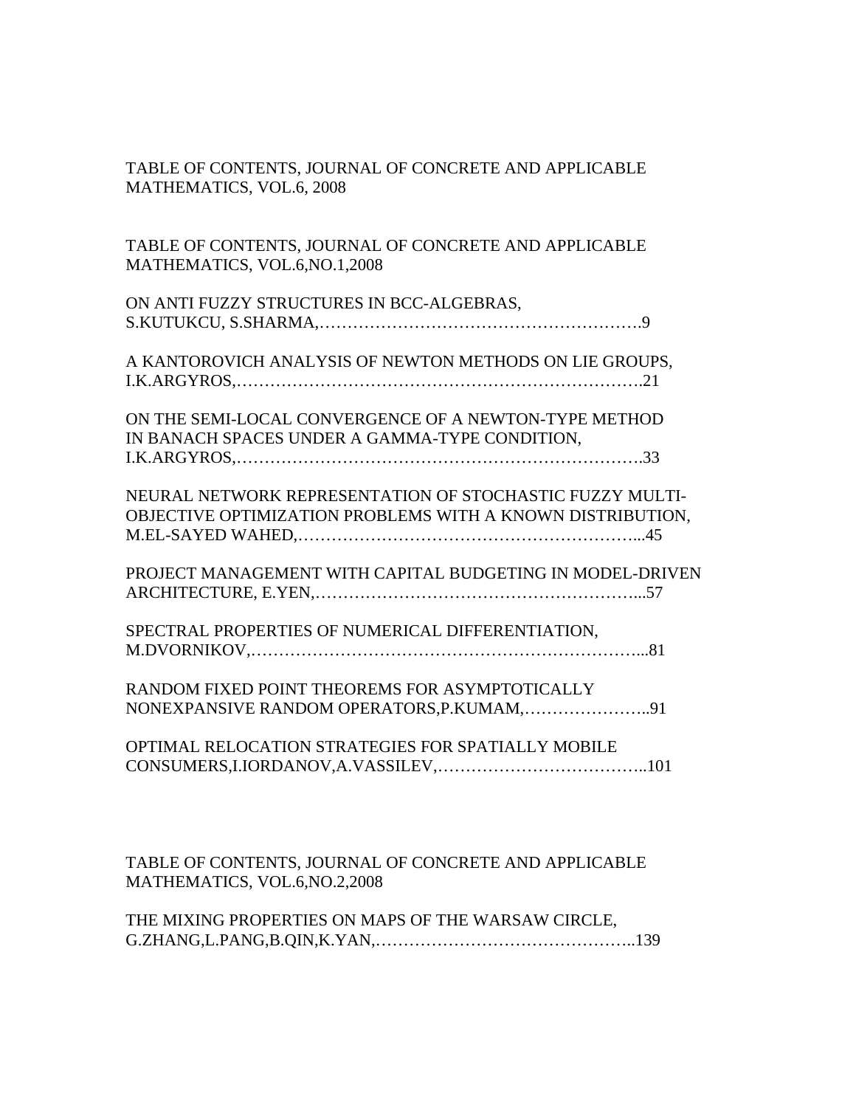## TABLE OF CONTENTS, JOURNAL OF CONCRETE AND APPLICABLE MATHEMATICS, VOL.6, 2008

TABLE OF CONTENTS, JOURNAL OF CONCRETE AND APPLICABLE MATHEMATICS, VOL.6,NO.1,2008

| ON ANTI FUZZY STRUCTURES IN BCC-ALGEBRAS, |  |
|-------------------------------------------|--|
|                                           |  |

A KANTOROVICH ANALYSIS OF NEWTON METHODS ON LIE GROUPS, I.K.ARGYROS,……………………………………………………………….21

ON THE SEMI-LOCAL CONVERGENCE OF A NEWTON-TYPE METHOD IN BANACH SPACES UNDER A GAMMA-TYPE CONDITION, I.K.ARGYROS,……………………………………………………………….33

NEURAL NETWORK REPRESENTATION OF STOCHASTIC FUZZY MULTI-OBJECTIVE OPTIMIZATION PROBLEMS WITH A KNOWN DISTRIBUTION, M.EL-SAYED WAHED,……………………………………………………...45

PROJECT MANAGEMENT WITH CAPITAL BUDGETING IN MODEL-DRIVEN ARCHITECTURE, E.YEN,…………………………………………………...57

SPECTRAL PROPERTIES OF NUMERICAL DIFFERENTIATION, M.DVORNIKOV,……………………………………………………………...81

RANDOM FIXED POINT THEOREMS FOR ASYMPTOTICALLY NONEXPANSIVE RANDOM OPERATORS,P.KUMAM,…………………..91

OPTIMAL RELOCATION STRATEGIES FOR SPATIALLY MOBILE CONSUMERS,I.IORDANOV,A.VASSILEV,………………………………..101

TABLE OF CONTENTS, JOURNAL OF CONCRETE AND APPLICABLE MATHEMATICS, VOL.6,NO.2,2008

THE MIXING PROPERTIES ON MAPS OF THE WARSAW CIRCLE, G.ZHANG,L.PANG,B.QIN,K.YAN,………………………………………..139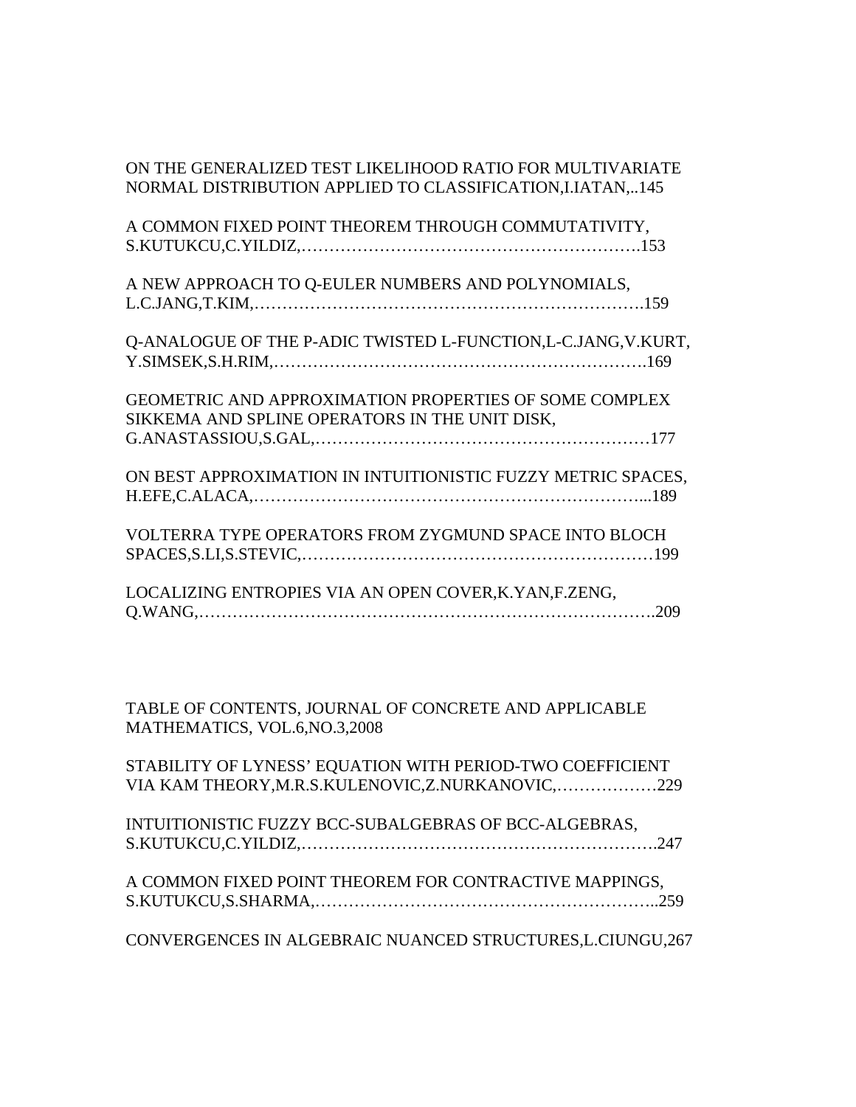| ON THE GENERALIZED TEST LIKELIHOOD RATIO FOR MULTIVARIATE<br>NORMAL DISTRIBUTION APPLIED TO CLASSIFICATION, I.IATAN, 145 |
|--------------------------------------------------------------------------------------------------------------------------|
| A COMMON FIXED POINT THEOREM THROUGH COMMUTATIVITY,                                                                      |
| A NEW APPROACH TO Q-EULER NUMBERS AND POLYNOMIALS,                                                                       |
| Q-ANALOGUE OF THE P-ADIC TWISTED L-FUNCTION, L-C.JANG, V.KURT,                                                           |
| <b>GEOMETRIC AND APPROXIMATION PROPERTIES OF SOME COMPLEX</b><br>SIKKEMA AND SPLINE OPERATORS IN THE UNIT DISK,          |
| ON BEST APPROXIMATION IN INTUITIONISTIC FUZZY METRIC SPACES,                                                             |
| VOLTERRA TYPE OPERATORS FROM ZYGMUND SPACE INTO BLOCH                                                                    |
| LOCALIZING ENTROPIES VIA AN OPEN COVER, K. YAN, F. ZENG,                                                                 |
|                                                                                                                          |

TABLE OF CONTENTS, JOURNAL OF CONCRETE AND APPLICABLE MATHEMATICS, VOL.6,NO.3,2008

STABILITY OF LYNESS' EQUATION WITH PERIOD-TWO COEFFICIENT VIA KAM THEORY,M.R.S.KULENOVIC,Z.NURKANOVIC,………………229

| INTUITIONISTIC FUZZY BCC-SUBALGEBRAS OF BCC-ALGEBRAS, |  |
|-------------------------------------------------------|--|
|                                                       |  |

A COMMON FIXED POINT THEOREM FOR CONTRACTIVE MAPPINGS, S.KUTUKCU,S.SHARMA,……………………………………………………..259

CONVERGENCES IN ALGEBRAIC NUANCED STRUCTURES,L.CIUNGU,267